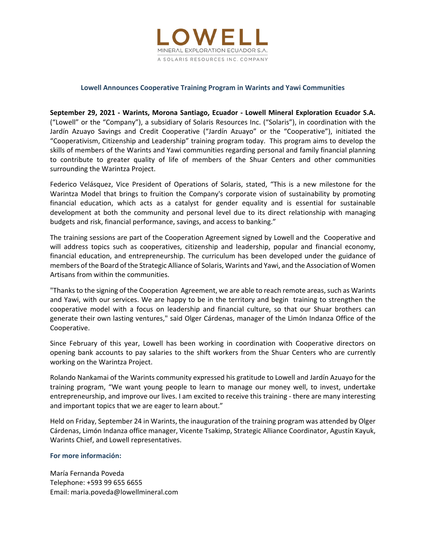

# **Lowell Announces Cooperative Training Program in Warints and Yawi Communities**

**September 29, 2021 ‐ Warints, Morona Santiago, Ecuador ‐ Lowell Mineral Exploration Ecuador S.A.** ("Lowell" or the "Company"), a subsidiary of Solaris Resources Inc. ("Solaris"), in coordination with the Jardín Azuayo Savings and Credit Cooperative ("Jardín Azuayo" or the "Cooperative"), initiated the "Cooperativism, Citizenship and Leadership" training program today. This program aims to develop the skills of members of the Warints and Yawi communities regarding personal and family financial planning to contribute to greater quality of life of members of the Shuar Centers and other communities surrounding the Warintza Project.

Federico Velásquez, Vice President of Operations of Solaris, stated, "This is a new milestone for the Warintza Model that brings to fruition the Company's corporate vision of sustainability by promoting financial education, which acts as a catalyst for gender equality and is essential for sustainable development at both the community and personal level due to its direct relationship with managing budgets and risk, financial performance, savings, and access to banking."

The training sessions are part of the Cooperation Agreement signed by Lowell and the Cooperative and will address topics such as cooperatives, citizenship and leadership, popular and financial economy, financial education, and entrepreneurship. The curriculum has been developed under the guidance of members of the Board of the Strategic Alliance of Solaris, Warints and Yawi, and the Association of Women Artisans from within the communities.

"Thanks to the signing of the Cooperation Agreement, we are able to reach remote areas, such as Warints and Yawi, with our services. We are happy to be in the territory and begin training to strengthen the cooperative model with a focus on leadership and financial culture, so that our Shuar brothers can generate their own lasting ventures," said Olger Cárdenas, manager of the Limón Indanza Office of the Cooperative.

Since February of this year, Lowell has been working in coordination with Cooperative directors on opening bank accounts to pay salaries to the shift workers from the Shuar Centers who are currently working on the Warintza Project.

Rolando Nankamai of the Warints community expressed his gratitude to Lowell and Jardín Azuayo for the training program, "We want young people to learn to manage our money well, to invest, undertake entrepreneurship, and improve our lives. I am excited to receive this training ‐ there are many interesting and important topics that we are eager to learn about."

Held on Friday, September 24 in Warints, the inauguration of the training program was attended by Olger Cárdenas, Limón Indanza office manager, Vicente Tsakimp, Strategic Alliance Coordinator, Agustín Kayuk, Warints Chief, and Lowell representatives.

### **For more información:**

María Fernanda Poveda Telephone: +593 99 655 6655 Email: maria.poveda@lowellmineral.com